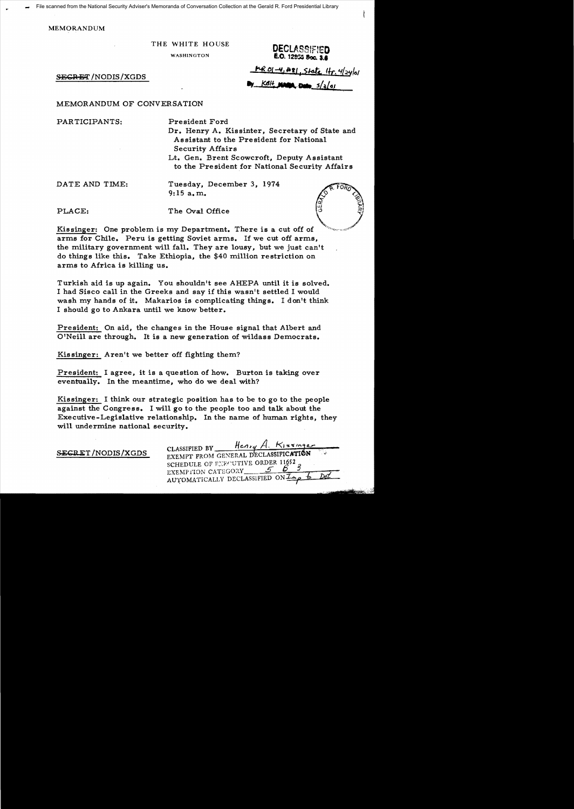File scanned from the National Security Adviser's Memoranda of Conversation Collection at the Gerald R. Ford Presidential Library

MEMORANDUM

THE WHITE HOUSE **DECLASSIFIED** E.O. 12555 Soc. 3.8

the orientation of the state of the SEGRET (NODIS/XGDS)

KBH **NATA** Duty 5/2/01

MEMORANDUM OF CONVERSATION

PARTICIPANTS: President Ford

Dr. Henry A. Kissinter, Secretary of State and Assistant to the President for National Security Affairs

Lt. Gen. Brent Scowcroft, Deputy Assistant to the President for National Security Affairs

DATE AND TIME: Tuesday, December 3, 1974 9: 15 a. m.

PLACE: The Oval Office



Turkish aid is up again. You shouldn't see AHEPA until it is solved. I had Sisco call in the Greeks and say if this wasn't settled I would wash my hands of it. Makarios is complicating things. I don't think I should go to Ankara until we know better.

President: On aid, the changes in the House signal that Albert and O'Neill are through. It is a new generation of wildass Democrats.

Kissinger: Aren't we better off fighting them?

President: I agree, it is a question of how. Burton is taking over eventually. In the meantime, who do we deal with?

Kissinger: I think our strategic position has to be to go to the people against the Congress. I will go to the people too and talk about the Executive-Legislative relationship. In the name of human rights, they will undermine national security.

SECRET / NODIS / XGDS

| CLASSIFIED BY                                           | Henry A. Kissinger |  |
|---------------------------------------------------------|--------------------|--|
| EXEMPT FROM GENERAL DECLASSIFICATION                    |                    |  |
| SCHEDULE OF EXECUTIVE ORDER 11652                       |                    |  |
| EXEMPTION CATEGORY<br>AUTOMATICALLY DECLASSIFIED ON Inc |                    |  |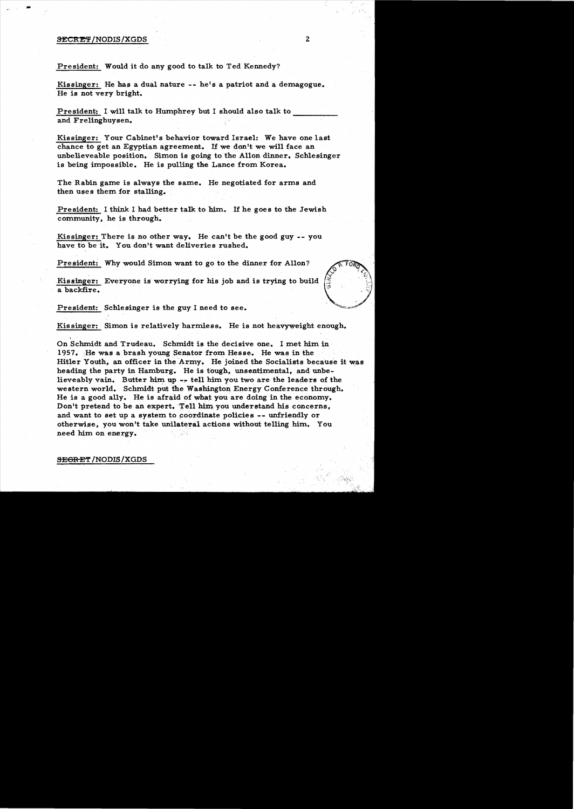## SECRET/NODIS/XGDS 2

President: Would it do any good to talk to Ted Kennedy?

Kissinger: He has a dual nature  $-$ - he's a patriot and a demagogue. He is not very bright.

President: I will talk to Humphrey but I should also talk to and Frelinghuysen.

Kissinger: Your Cabinet's behavior toward Israel: We have one last chance to get an Egyptian agreement. If we don't we will face an unbelieveable position. Simon is going to the Allon dinner. Schlesinger is being impossible. He is pulling the Lance from Korea.

The Rabin game is always the same. He negotiated for arms and then uses them for stalling.

President: I think I had better talk to him. If he goes to the Jewish community, he is through.

.Kissinger: There is no other way. He can't be the good guy -- you have to be it. You don't want deliveries rushed.

President: Why would Simon want to go to the dinner for Allon?

.Kissinger: Everyone is worrying for his job and is trying to build Kissinger: Everyone is worrying for his job and is trying to build  $\begin{pmatrix} 0 & 0 \\ 0 & 0 \\ 0 & 0 \end{pmatrix}$ . a backfire.<br>President: Schlesinger is the guy I need to see.

**COR FORD ?**  $\mathcal{C}$  .  $\mathcal{C}$ **FO**<br>. ' .,\_ ..... ,rt 7i.' • ...-.1'

Kissinger: Simon is relatively harmless. He is not heavyweight enough.

On Schmidt and Trudeau. Schmidt is the decisive one. I met him in 1957.~He was a brash young Senator from Hesse. He was in the Hitler Youth, an officer in the Army. He joined the Socialists because it was heading the party in Hamburg. He is tough, unsentimental, and unbelieveably vain. Butter him up -- tell him you two are the leaders of the western world. Schmidt put the Washington Energy Conference through. He is a good ally. He is afraid of what you are doing in the economy. Don't pretend to be an expert. Tell him you understand his concerns, and want to set up a system to coordinate policies -- unfriendly or otherwise, you won't take unilateral actions without telling him. You need him on energy.

SEGRET/NODIS/XGDS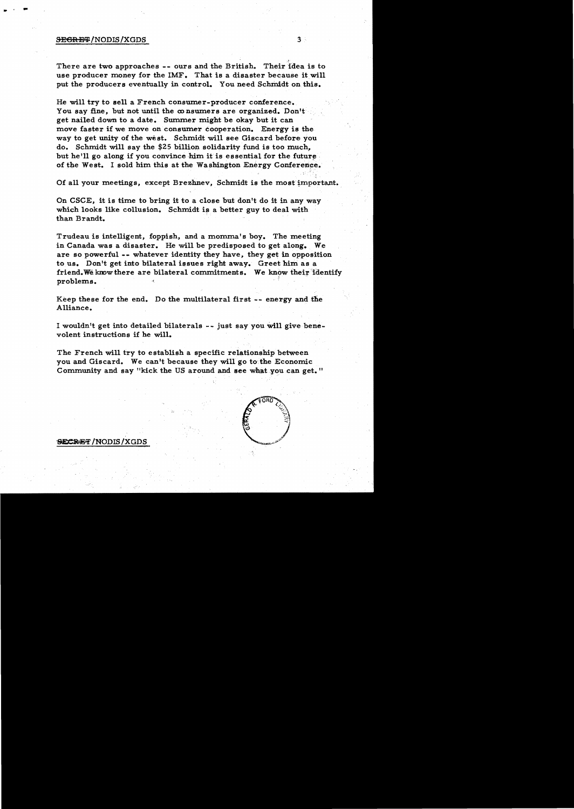## $\overline{\textbf{SEGRBF}}$  /NODIS /XGDS  $3$  3

.. . ..

There are two approaches -- ours and the British. Their idea is to use producer money for the IMF. That is a disaster because it will put the producers eventually in control. You need Schmidt on this.

He will try to sell a French consumer-producer conference. You say fine, but not until the  $\infty$  nsumers are organized. Don't get nailed down to a date. Summer might be okay but it can move faster if we move on consumer eooperation. Energy is the way to get unity of the west. Schmidt will see Giscard before you do. Schmidt will say the \$25 billion solidarity fund is too much, but he'll go along if you convince him it is essential for the future of the West. I sold him this at the Washington Energy Conference.

Of all your meetings, except Brezhnev, Schmidt is the most important.

On CSCE, it is time to bring it to a close but don't do it in any way which looks like collusion. Schmidt is a better guy to deal with than Brandt. .

Trudeau is intelligent, foppish, and a momma's boy. The meeting in Canada was a disaster. He will be predisposed to get along. We are so powerful -- whatever identity they have, they get in opposition to us. Don't get into bilateral issues right away. Greet him as a friend. We know there are bilateral commitments. We know their identify in Canada was a disaster. He will be predisposed to get along. We<br>are so powerful -- whatever identity they have, they get in oppositi<br>to us. Don't get into bilateral issues right away. Greet him as a<br>friend. We know there

Keep these for the end. Do the multilateral first -- energy and the Alliance.

I wouldn't get into detailed bilaterals -- just sayyou Will give benevolent instructions if he will.

The French wi1l try to establish a specific relationship between you and Giscard. We can't because they will go to the Economic Community and say "kick the US around and see what you can get."



## SECRET / NODIS / XGDS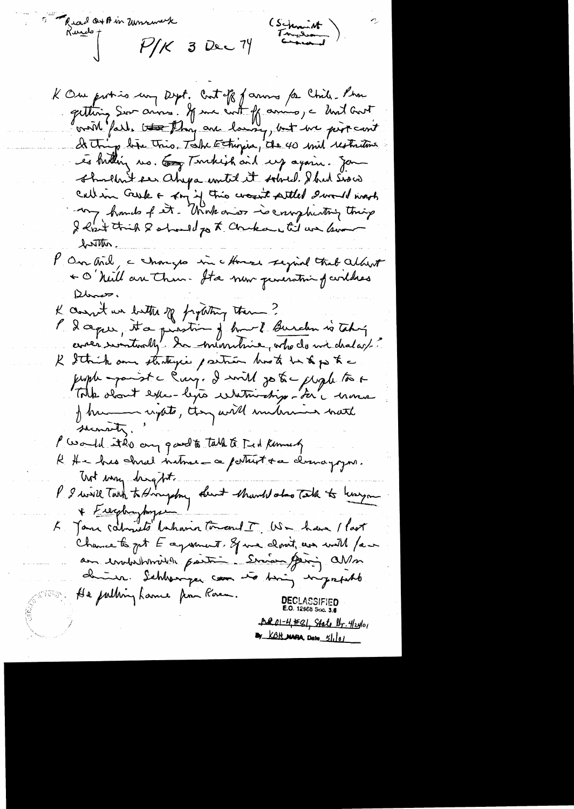Ricad Oxt in Universite (Schmitt)  $P/K$  3 Dec  $79$ K Our proties un Dept. Cut of January for Chile. Phone getting Soon aris. If me with of anno, a but Got de trip bie tris, Take Ethizia, de 40 mil restritiva les Arthin res. En Terribish and up again. Jam therefore ahepa until it solved. I had sisco call in Gaste & King if this worsen't settled I would mark my hourds of et. Unak criss is complicating thing I don't think & should go to Charleane til un leve to the P Our trie, a changes in change seguid that albert ← O'ruill an thus. It a now periodic of corldres Dhows. K cont un butter of frighting them. P. 2 cepse, it a prestice of hours & Burden is taking K Ithick am strakyce postrin hard he to post a suph parate Curg. I will go to - shiph to + To be obact exper-legio certainings- ser c environ f human regate, they will imbremen watt security. P would it 20 any good to Talk to Ted Komeny K He his chree nature a patrist sa classagogne. ant way bights P I will Talk to Hongolny deat March about Talk to hayon + Erechnischuz K Jan calments habarin tomand I Wa have I last Chance to get E agreement. If we don't , we will fave an induln'in partir Sinon Javi, alle dimen. Settlewayer com no time ingretation He falling hame from Koren. DECLASSIFIED<br>E.O. 12968 Soc. 3.6 Deal-4, #81, State Ur. 4/24/01

by KBH NAPA, Dato 5/1/01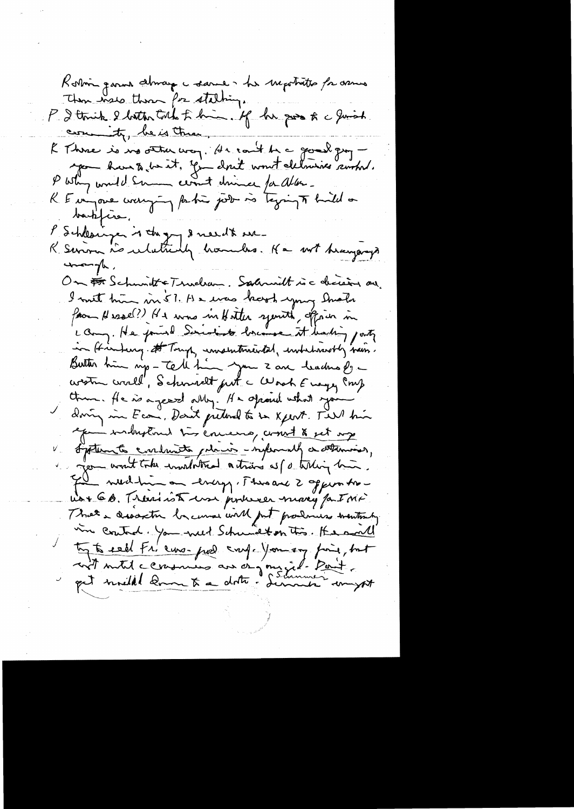Rostin garner celesia e same s ha magitatto for assure Then has these for stalking. P I think I litter tothe fi him. If he goes to a Junish. commenty, be is three, K Mine is no otter way. An count de cours geography P why would Sum cernt driver for allow-K Euryone wanting for the job is Taging to hild or bartifire. P Schlesinger is the gry I need to eve-K Serion is ulationly handes. Ke wit heavy grays unangle. On For Schmitte Truchan. Salmit is a decision avec I mit time in 57. As was keept young Small from Hersel?) He was in Hotter sports, offair in cam, He point Serioust locause it backing party in Hinhing. It Tough, inauthiertal, indictivently hair. Butter him up-Tell him you zave leaders de westin world, Schmidt put a Work Energy Prop them. He is a great ably. He special what you doing in Fcan, Dan't pretend to be xpert. Till bin eportemptant tis enceres, commet to set une Systemits contracts places - supermently or attention, Jo won't toke windotted actions of a terring him. Lot 6B. Trend est un poderer mory patoit That a desaction because will put produces wenterly in control. You well Schundton too. He avail ty to each Fr. euro- prod creep. You any fine, but crit mitit cessannes au ce jongier Dont.